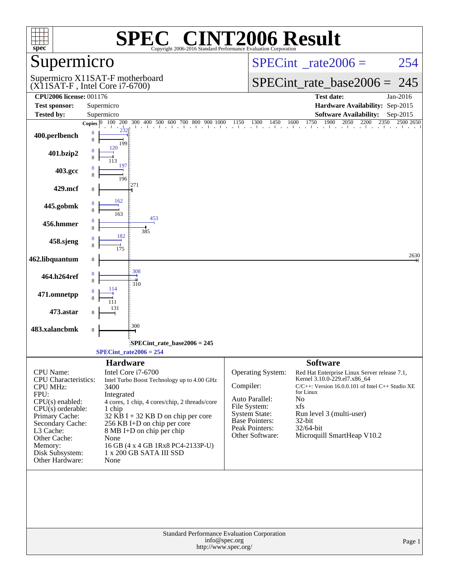| $spec^*$                                                                                                         | $\mathsf{I}(\mathbb{R})$<br>Copyright 2006-2016 Standard Performance Evaluation Corporation                                                                                      | <b>NT2006 Result</b>                                                                                                                                                                                                                                                                    |  |  |
|------------------------------------------------------------------------------------------------------------------|----------------------------------------------------------------------------------------------------------------------------------------------------------------------------------|-----------------------------------------------------------------------------------------------------------------------------------------------------------------------------------------------------------------------------------------------------------------------------------------|--|--|
| upermicro                                                                                                        |                                                                                                                                                                                  | $SPECint^{\circ}$ <sub>_rate2006</sub> =<br>254                                                                                                                                                                                                                                         |  |  |
|                                                                                                                  | Supermicro X11SAT-F motherboard<br>$(X11SAT-F, Intel Core i7-6700)$                                                                                                              | $SPECint_rate\_base2006 =$<br>245                                                                                                                                                                                                                                                       |  |  |
| <b>CPU2006 license: 001176</b>                                                                                   |                                                                                                                                                                                  | <b>Test date:</b><br>Jan-2016                                                                                                                                                                                                                                                           |  |  |
| <b>Test sponsor:</b>                                                                                             | Supermicro                                                                                                                                                                       | Hardware Availability: Sep-2015                                                                                                                                                                                                                                                         |  |  |
| <b>Tested by:</b>                                                                                                | Supermicro                                                                                                                                                                       | <b>Software Availability:</b><br>Sep-2015                                                                                                                                                                                                                                               |  |  |
| 400.perlbench                                                                                                    | Copies $ 0 $<br>8<br>8<br>199                                                                                                                                                    | $100\quad 200\quad 300\quad 400\quad 500\quad 600\quad 700\quad 800\quad 900\quad 1000\qquad 1150\qquad 1300\qquad 1450\qquad 1600\qquad 1750\qquad 1900\qquad 2050\quad 2200\qquad 2350\quad 2500\quad 2650$<br>2500 2650                                                              |  |  |
| 401.bzip2                                                                                                        | 120                                                                                                                                                                              |                                                                                                                                                                                                                                                                                         |  |  |
| 403.gcc                                                                                                          | 197<br>196                                                                                                                                                                       |                                                                                                                                                                                                                                                                                         |  |  |
| 429.mcf                                                                                                          | 271<br>8                                                                                                                                                                         |                                                                                                                                                                                                                                                                                         |  |  |
| 445.gobmk                                                                                                        | 162<br>8<br>163                                                                                                                                                                  |                                                                                                                                                                                                                                                                                         |  |  |
| 456.hmmer                                                                                                        | 453<br>8<br>385                                                                                                                                                                  |                                                                                                                                                                                                                                                                                         |  |  |
| 458.sjeng                                                                                                        | 182<br>8<br>175                                                                                                                                                                  |                                                                                                                                                                                                                                                                                         |  |  |
| 462.libquantum                                                                                                   | 8                                                                                                                                                                                | 2630                                                                                                                                                                                                                                                                                    |  |  |
| 464.h264ref                                                                                                      | 308<br>8<br>8<br>310                                                                                                                                                             |                                                                                                                                                                                                                                                                                         |  |  |
| 471.omnetpp                                                                                                      | 114<br>111                                                                                                                                                                       |                                                                                                                                                                                                                                                                                         |  |  |
| 473.astar                                                                                                        | 131<br>8                                                                                                                                                                         |                                                                                                                                                                                                                                                                                         |  |  |
| 483.xalancbmk                                                                                                    | 300<br>8                                                                                                                                                                         |                                                                                                                                                                                                                                                                                         |  |  |
|                                                                                                                  | $SPECint$ rate base2006 = 245                                                                                                                                                    |                                                                                                                                                                                                                                                                                         |  |  |
|                                                                                                                  | $SPECint_rate2006 = 254$                                                                                                                                                         |                                                                                                                                                                                                                                                                                         |  |  |
|                                                                                                                  | <b>Hardware</b>                                                                                                                                                                  | <b>Software</b>                                                                                                                                                                                                                                                                         |  |  |
| CPU Name:<br><b>CPU</b> Characteristics:<br><b>CPU MHz:</b><br>FPU:<br>CPU(s) enabled:<br>$CPU(s)$ orderable:    | Intel Core i7-6700<br>Intel Turbo Boost Technology up to 4.00 GHz<br>3400<br>Integrated<br>4 cores, 1 chip, 4 cores/chip, 2 threads/core<br>1 chip                               | Operating System:<br>Red Hat Enterprise Linux Server release 7.1,<br>Kernel 3.10.0-229.el7.x86_64<br>Compiler:<br>$C/C++$ : Version 16.0.0.101 of Intel $C++$ Studio XE<br>for Linux<br>Auto Parallel:<br>No<br>File System:<br>xfs<br><b>System State:</b><br>Run level 3 (multi-user) |  |  |
| Primary Cache:<br>Secondary Cache:<br>L3 Cache:<br>Other Cache:<br>Memory:<br>Disk Subsystem:<br>Other Hardware: | $32$ KB I + 32 KB D on chip per core<br>256 KB I+D on chip per core<br>8 MB I+D on chip per chip<br>None<br>16 GB (4 x 4 GB 1Rx8 PC4-2133P-U)<br>1 x 200 GB SATA III SSD<br>None | <b>Base Pointers:</b><br>$32$ -bit<br>Peak Pointers:<br>32/64-bit<br>Other Software:<br>Microquill SmartHeap V10.2                                                                                                                                                                      |  |  |
|                                                                                                                  |                                                                                                                                                                                  |                                                                                                                                                                                                                                                                                         |  |  |
| Standard Performance Evaluation Corporation<br>info@spec.org<br>Page 1<br>http://www.spec.org/                   |                                                                                                                                                                                  |                                                                                                                                                                                                                                                                                         |  |  |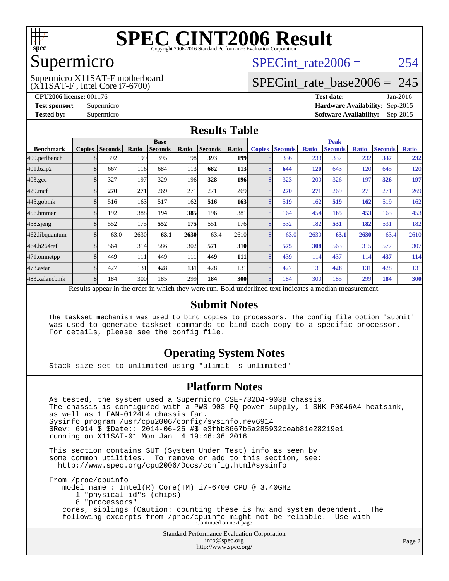

### Supermicro

(X11SAT-F , Intel Core i7-6700) Supermicro X11SAT-F motherboard SPECint rate $2006 = 254$ 

### [SPECint\\_rate\\_base2006 =](http://www.spec.org/auto/cpu2006/Docs/result-fields.html#SPECintratebase2006) 245

**[CPU2006 license:](http://www.spec.org/auto/cpu2006/Docs/result-fields.html#CPU2006license)** 001176 **[Test date:](http://www.spec.org/auto/cpu2006/Docs/result-fields.html#Testdate)** Jan-2016 **[Test sponsor:](http://www.spec.org/auto/cpu2006/Docs/result-fields.html#Testsponsor)** Supermicro **[Hardware Availability:](http://www.spec.org/auto/cpu2006/Docs/result-fields.html#HardwareAvailability)** Sep-2015 **[Tested by:](http://www.spec.org/auto/cpu2006/Docs/result-fields.html#Testedby)** Supermicro **Supermicro [Software Availability:](http://www.spec.org/auto/cpu2006/Docs/result-fields.html#SoftwareAvailability)** Sep-2015

### **[Results Table](http://www.spec.org/auto/cpu2006/Docs/result-fields.html#ResultsTable)**

|                                                                                                          | <b>Base</b>   |                |       |                |       |                | <b>Peak</b> |                |                |              |                |              |                |              |
|----------------------------------------------------------------------------------------------------------|---------------|----------------|-------|----------------|-------|----------------|-------------|----------------|----------------|--------------|----------------|--------------|----------------|--------------|
| <b>Benchmark</b>                                                                                         | <b>Copies</b> | <b>Seconds</b> | Ratio | <b>Seconds</b> | Ratio | <b>Seconds</b> | Ratio       | <b>Copies</b>  | <b>Seconds</b> | <b>Ratio</b> | <b>Seconds</b> | <b>Ratio</b> | <b>Seconds</b> | <b>Ratio</b> |
| 400.perlbench                                                                                            |               | 392            | 199   | 395            | 198   | 393            | <b>199</b>  |                | 336            | 233          | 337            | 232          | 337            | 232          |
| 401.bzip2                                                                                                |               | 667            | 116   | 684            | 113   | 682            | <b>113</b>  |                | 644            | 120          | 643            | 120          | 645            | 120          |
| $403.\mathrm{gcc}$                                                                                       |               | 327            | 197   | 329            | 196   | 328            | <b>196</b>  |                | 323            | 200          | 326            | 197          | 326            | <u>197</u>   |
| $429$ .mcf                                                                                               |               | 270            | 271   | 269            | 271   | 271            | 269         | 8              | 270            | 271          | 269            | 271          | 271            | 269          |
| $445$ .gobmk                                                                                             |               | 516            | 163   | 517            | 162   | 516            | 163         | 8              | 519            | 162          | 519            | 162          | 519            | 162          |
| 456.hmmer                                                                                                |               | 192            | 388   | 194            | 385   | 196            | 381         | 8              | 164            | 454          | 165            | 453          | 165            | 453          |
| $458$ .sjeng                                                                                             | 8             | 552            | 175   | 552            | 175   | 551            | 176         | 8              | 532            | 182          | 531            | 182          | 531            | 182          |
| 462.libquantum                                                                                           |               | 63.0           | 2630  | 63.1           | 2630  | 63.4           | 2610        |                | 63.0           | 2630         | 63.1           | 2630         | 63.4           | 2610         |
| 464.h264ref                                                                                              |               | 564            | 314   | 586            | 302   | 571            | <b>310</b>  |                | 575            | 308          | 563            | 315          | 577            | 307          |
| 471.omnetpp                                                                                              |               | 449            | 111   | 449            | 111   | 449            | <b>111</b>  |                | 439            | 114          | 437            | 114          | 437            | <u>114</u>   |
| $473$ . astar                                                                                            |               | 427            | 131   | 428            | 131   | 428            | 131         | $\overline{8}$ | 427            | 131          | 428            | 131          | 428            | 131          |
| 483.xalancbmk                                                                                            |               | 184            | 300   | 185            | 299   | 184            | <b>300</b>  | 8              | 184            | 300          | 185            | 299          | 184            | <b>300</b>   |
| Results appear in the order in which they were run. Bold underlined text indicates a median measurement. |               |                |       |                |       |                |             |                |                |              |                |              |                |              |

#### **[Submit Notes](http://www.spec.org/auto/cpu2006/Docs/result-fields.html#SubmitNotes)**

 The taskset mechanism was used to bind copies to processors. The config file option 'submit' was used to generate taskset commands to bind each copy to a specific processor. For details, please see the config file.

### **[Operating System Notes](http://www.spec.org/auto/cpu2006/Docs/result-fields.html#OperatingSystemNotes)**

Stack size set to unlimited using "ulimit -s unlimited"

#### **[Platform Notes](http://www.spec.org/auto/cpu2006/Docs/result-fields.html#PlatformNotes)**

Standard Performance Evaluation Corporation As tested, the system used a Supermicro CSE-732D4-903B chassis. The chassis is configured with a PWS-903-PQ power supply, 1 SNK-P0046A4 heatsink, as well as 1 FAN-0124L4 chassis fan. Sysinfo program /usr/cpu2006/config/sysinfo.rev6914 \$Rev: 6914 \$ \$Date:: 2014-06-25 #\$ e3fbb8667b5a285932ceab81e28219e1 running on X11SAT-01 Mon Jan 4 19:46:36 2016 This section contains SUT (System Under Test) info as seen by some common utilities. To remove or add to this section, see: <http://www.spec.org/cpu2006/Docs/config.html#sysinfo> From /proc/cpuinfo model name : Intel(R) Core(TM) i7-6700 CPU @ 3.40GHz 1 "physical id"s (chips) 8 "processors" cores, siblings (Caution: counting these is hw and system dependent. The following excerpts from /proc/cpuinfo might not be reliable. Use with Continued on next page

[info@spec.org](mailto:info@spec.org) <http://www.spec.org/>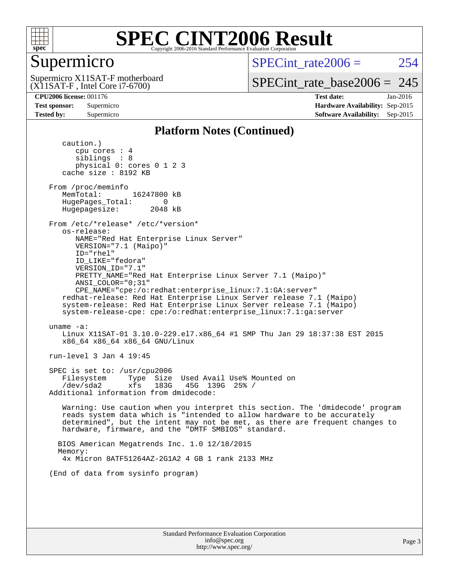

### Supermicro

(X11SAT-F , Intel Core i7-6700) Supermicro X11SAT-F motherboard  $SPECint rate2006 = 254$ 

[SPECint\\_rate\\_base2006 =](http://www.spec.org/auto/cpu2006/Docs/result-fields.html#SPECintratebase2006) 245

**[CPU2006 license:](http://www.spec.org/auto/cpu2006/Docs/result-fields.html#CPU2006license)** 001176 **[Test date:](http://www.spec.org/auto/cpu2006/Docs/result-fields.html#Testdate)** Jan-2016 **[Test sponsor:](http://www.spec.org/auto/cpu2006/Docs/result-fields.html#Testsponsor)** Supermicro **[Hardware Availability:](http://www.spec.org/auto/cpu2006/Docs/result-fields.html#HardwareAvailability)** Sep-2015 **[Tested by:](http://www.spec.org/auto/cpu2006/Docs/result-fields.html#Testedby)** Supermicro **Supermicro [Software Availability:](http://www.spec.org/auto/cpu2006/Docs/result-fields.html#SoftwareAvailability)** Sep-2015

### **[Platform Notes \(Continued\)](http://www.spec.org/auto/cpu2006/Docs/result-fields.html#PlatformNotes)**

 caution.) cpu cores : 4 siblings : 8 physical 0: cores 0 1 2 3 cache size : 8192 KB From /proc/meminfo MemTotal: 16247800 kB HugePages\_Total: 0<br>Hugepagesize: 2048 kB Hugepagesize: From /etc/\*release\* /etc/\*version\* os-release: NAME="Red Hat Enterprise Linux Server" VERSION="7.1 (Maipo)" ID="rhel" ID\_LIKE="fedora" VERSION\_ID="7.1" PRETTY\_NAME="Red Hat Enterprise Linux Server 7.1 (Maipo)" ANSI\_COLOR="0;31" CPE\_NAME="cpe:/o:redhat:enterprise\_linux:7.1:GA:server" redhat-release: Red Hat Enterprise Linux Server release 7.1 (Maipo) system-release: Red Hat Enterprise Linux Server release 7.1 (Maipo) system-release-cpe: cpe:/o:redhat:enterprise\_linux:7.1:ga:server uname -a: Linux X11SAT-01 3.10.0-229.el7.x86\_64 #1 SMP Thu Jan 29 18:37:38 EST 2015 x86\_64 x86\_64 x86\_64 GNU/Linux run-level 3 Jan 4 19:45 SPEC is set to: /usr/cpu2006 Filesystem Type Size Used Avail Use% Mounted on /dev/sda2 xfs 183G 45G 139G 25% / Additional information from dmidecode: Warning: Use caution when you interpret this section. The 'dmidecode' program reads system data which is "intended to allow hardware to be accurately determined", but the intent may not be met, as there are frequent changes to hardware, firmware, and the "DMTF SMBIOS" standard. BIOS American Megatrends Inc. 1.0 12/18/2015 Memory: 4x Micron 8ATF51264AZ-2G1A2 4 GB 1 rank 2133 MHz (End of data from sysinfo program)

> Standard Performance Evaluation Corporation [info@spec.org](mailto:info@spec.org) <http://www.spec.org/>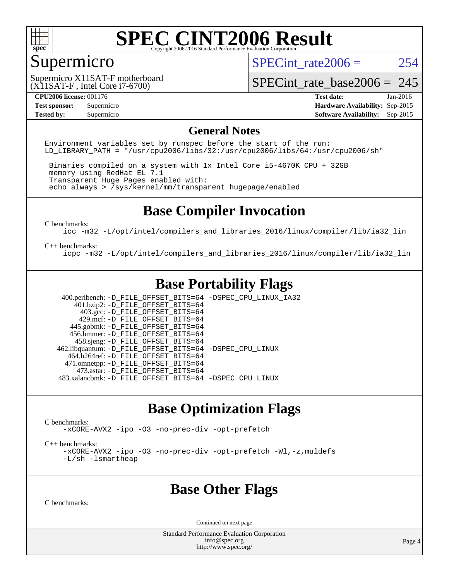

### Supermicro

SPECint rate $2006 = 254$ 

(X11SAT-F , Intel Core i7-6700) Supermicro X11SAT-F motherboard

[SPECint\\_rate\\_base2006 =](http://www.spec.org/auto/cpu2006/Docs/result-fields.html#SPECintratebase2006) 245

**[CPU2006 license:](http://www.spec.org/auto/cpu2006/Docs/result-fields.html#CPU2006license)** 001176 **[Test date:](http://www.spec.org/auto/cpu2006/Docs/result-fields.html#Testdate)** Jan-2016 **[Test sponsor:](http://www.spec.org/auto/cpu2006/Docs/result-fields.html#Testsponsor)** Supermicro **[Hardware Availability:](http://www.spec.org/auto/cpu2006/Docs/result-fields.html#HardwareAvailability)** Sep-2015 **[Tested by:](http://www.spec.org/auto/cpu2006/Docs/result-fields.html#Testedby)** Supermicro **Supermicro [Software Availability:](http://www.spec.org/auto/cpu2006/Docs/result-fields.html#SoftwareAvailability)** Sep-2015

#### **[General Notes](http://www.spec.org/auto/cpu2006/Docs/result-fields.html#GeneralNotes)**

Environment variables set by runspec before the start of the run: LD LIBRARY PATH = "/usr/cpu2006/libs/32:/usr/cpu2006/libs/64:/usr/cpu2006/sh"

 Binaries compiled on a system with 1x Intel Core i5-4670K CPU + 32GB memory using RedHat EL 7.1 Transparent Huge Pages enabled with: echo always > /sys/kernel/mm/transparent\_hugepage/enabled

### **[Base Compiler Invocation](http://www.spec.org/auto/cpu2006/Docs/result-fields.html#BaseCompilerInvocation)**

[C benchmarks](http://www.spec.org/auto/cpu2006/Docs/result-fields.html#Cbenchmarks):

[icc -m32 -L/opt/intel/compilers\\_and\\_libraries\\_2016/linux/compiler/lib/ia32\\_lin](http://www.spec.org/cpu2006/results/res2016q1/cpu2006-20160106-38555.flags.html#user_CCbase_intel_icc_e10256ba5924b668798078a321b0cb3f)

#### [C++ benchmarks:](http://www.spec.org/auto/cpu2006/Docs/result-fields.html#CXXbenchmarks)

[icpc -m32 -L/opt/intel/compilers\\_and\\_libraries\\_2016/linux/compiler/lib/ia32\\_lin](http://www.spec.org/cpu2006/results/res2016q1/cpu2006-20160106-38555.flags.html#user_CXXbase_intel_icpc_b4f50a394bdb4597aa5879c16bc3f5c5)

### **[Base Portability Flags](http://www.spec.org/auto/cpu2006/Docs/result-fields.html#BasePortabilityFlags)**

 400.perlbench: [-D\\_FILE\\_OFFSET\\_BITS=64](http://www.spec.org/cpu2006/results/res2016q1/cpu2006-20160106-38555.flags.html#user_basePORTABILITY400_perlbench_file_offset_bits_64_438cf9856305ebd76870a2c6dc2689ab) [-DSPEC\\_CPU\\_LINUX\\_IA32](http://www.spec.org/cpu2006/results/res2016q1/cpu2006-20160106-38555.flags.html#b400.perlbench_baseCPORTABILITY_DSPEC_CPU_LINUX_IA32)  $401.bzip2: -D$ FILE\_OFFSET\_BITS=64 403.gcc: [-D\\_FILE\\_OFFSET\\_BITS=64](http://www.spec.org/cpu2006/results/res2016q1/cpu2006-20160106-38555.flags.html#user_basePORTABILITY403_gcc_file_offset_bits_64_438cf9856305ebd76870a2c6dc2689ab) 429.mcf: [-D\\_FILE\\_OFFSET\\_BITS=64](http://www.spec.org/cpu2006/results/res2016q1/cpu2006-20160106-38555.flags.html#user_basePORTABILITY429_mcf_file_offset_bits_64_438cf9856305ebd76870a2c6dc2689ab) 445.gobmk: [-D\\_FILE\\_OFFSET\\_BITS=64](http://www.spec.org/cpu2006/results/res2016q1/cpu2006-20160106-38555.flags.html#user_basePORTABILITY445_gobmk_file_offset_bits_64_438cf9856305ebd76870a2c6dc2689ab) 456.hmmer: [-D\\_FILE\\_OFFSET\\_BITS=64](http://www.spec.org/cpu2006/results/res2016q1/cpu2006-20160106-38555.flags.html#user_basePORTABILITY456_hmmer_file_offset_bits_64_438cf9856305ebd76870a2c6dc2689ab) 458.sjeng: [-D\\_FILE\\_OFFSET\\_BITS=64](http://www.spec.org/cpu2006/results/res2016q1/cpu2006-20160106-38555.flags.html#user_basePORTABILITY458_sjeng_file_offset_bits_64_438cf9856305ebd76870a2c6dc2689ab) 462.libquantum: [-D\\_FILE\\_OFFSET\\_BITS=64](http://www.spec.org/cpu2006/results/res2016q1/cpu2006-20160106-38555.flags.html#user_basePORTABILITY462_libquantum_file_offset_bits_64_438cf9856305ebd76870a2c6dc2689ab) [-DSPEC\\_CPU\\_LINUX](http://www.spec.org/cpu2006/results/res2016q1/cpu2006-20160106-38555.flags.html#b462.libquantum_baseCPORTABILITY_DSPEC_CPU_LINUX) 464.h264ref: [-D\\_FILE\\_OFFSET\\_BITS=64](http://www.spec.org/cpu2006/results/res2016q1/cpu2006-20160106-38555.flags.html#user_basePORTABILITY464_h264ref_file_offset_bits_64_438cf9856305ebd76870a2c6dc2689ab) 471.omnetpp: [-D\\_FILE\\_OFFSET\\_BITS=64](http://www.spec.org/cpu2006/results/res2016q1/cpu2006-20160106-38555.flags.html#user_basePORTABILITY471_omnetpp_file_offset_bits_64_438cf9856305ebd76870a2c6dc2689ab) 473.astar: [-D\\_FILE\\_OFFSET\\_BITS=64](http://www.spec.org/cpu2006/results/res2016q1/cpu2006-20160106-38555.flags.html#user_basePORTABILITY473_astar_file_offset_bits_64_438cf9856305ebd76870a2c6dc2689ab) 483.xalancbmk: [-D\\_FILE\\_OFFSET\\_BITS=64](http://www.spec.org/cpu2006/results/res2016q1/cpu2006-20160106-38555.flags.html#user_basePORTABILITY483_xalancbmk_file_offset_bits_64_438cf9856305ebd76870a2c6dc2689ab) [-DSPEC\\_CPU\\_LINUX](http://www.spec.org/cpu2006/results/res2016q1/cpu2006-20160106-38555.flags.html#b483.xalancbmk_baseCXXPORTABILITY_DSPEC_CPU_LINUX)

### **[Base Optimization Flags](http://www.spec.org/auto/cpu2006/Docs/result-fields.html#BaseOptimizationFlags)**

[C benchmarks](http://www.spec.org/auto/cpu2006/Docs/result-fields.html#Cbenchmarks):

[-xCORE-AVX2](http://www.spec.org/cpu2006/results/res2016q1/cpu2006-20160106-38555.flags.html#user_CCbase_f-xAVX2_5f5fc0cbe2c9f62c816d3e45806c70d7) [-ipo](http://www.spec.org/cpu2006/results/res2016q1/cpu2006-20160106-38555.flags.html#user_CCbase_f-ipo) [-O3](http://www.spec.org/cpu2006/results/res2016q1/cpu2006-20160106-38555.flags.html#user_CCbase_f-O3) [-no-prec-div](http://www.spec.org/cpu2006/results/res2016q1/cpu2006-20160106-38555.flags.html#user_CCbase_f-no-prec-div) [-opt-prefetch](http://www.spec.org/cpu2006/results/res2016q1/cpu2006-20160106-38555.flags.html#user_CCbase_f-opt-prefetch)

[C++ benchmarks:](http://www.spec.org/auto/cpu2006/Docs/result-fields.html#CXXbenchmarks)

[-xCORE-AVX2](http://www.spec.org/cpu2006/results/res2016q1/cpu2006-20160106-38555.flags.html#user_CXXbase_f-xAVX2_5f5fc0cbe2c9f62c816d3e45806c70d7) [-ipo](http://www.spec.org/cpu2006/results/res2016q1/cpu2006-20160106-38555.flags.html#user_CXXbase_f-ipo) [-O3](http://www.spec.org/cpu2006/results/res2016q1/cpu2006-20160106-38555.flags.html#user_CXXbase_f-O3) [-no-prec-div](http://www.spec.org/cpu2006/results/res2016q1/cpu2006-20160106-38555.flags.html#user_CXXbase_f-no-prec-div) [-opt-prefetch](http://www.spec.org/cpu2006/results/res2016q1/cpu2006-20160106-38555.flags.html#user_CXXbase_f-opt-prefetch) [-Wl,-z,muldefs](http://www.spec.org/cpu2006/results/res2016q1/cpu2006-20160106-38555.flags.html#user_CXXbase_link_force_multiple1_74079c344b956b9658436fd1b6dd3a8a) [-L/sh -lsmartheap](http://www.spec.org/cpu2006/results/res2016q1/cpu2006-20160106-38555.flags.html#user_CXXbase_SmartHeap_32f6c82aa1ed9c52345d30cf6e4a0499)

### **[Base Other Flags](http://www.spec.org/auto/cpu2006/Docs/result-fields.html#BaseOtherFlags)**

[C benchmarks](http://www.spec.org/auto/cpu2006/Docs/result-fields.html#Cbenchmarks):

Continued on next page

Standard Performance Evaluation Corporation [info@spec.org](mailto:info@spec.org) <http://www.spec.org/>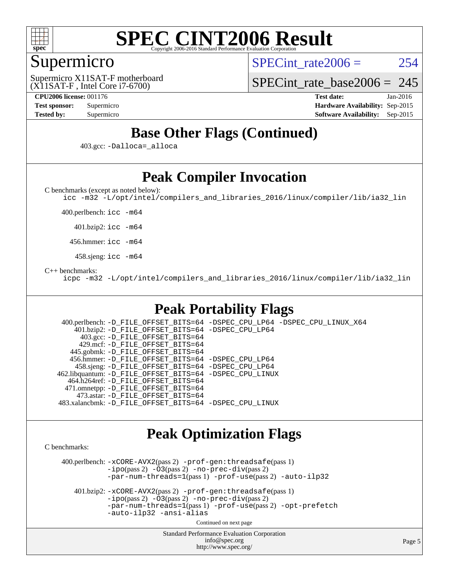

### Supermicro

SPECint rate $2006 = 254$ 

(X11SAT-F , Intel Core i7-6700) Supermicro X11SAT-F motherboard [SPECint\\_rate\\_base2006 =](http://www.spec.org/auto/cpu2006/Docs/result-fields.html#SPECintratebase2006) 245

**[CPU2006 license:](http://www.spec.org/auto/cpu2006/Docs/result-fields.html#CPU2006license)** 001176 **[Test date:](http://www.spec.org/auto/cpu2006/Docs/result-fields.html#Testdate)** Jan-2016 **[Test sponsor:](http://www.spec.org/auto/cpu2006/Docs/result-fields.html#Testsponsor)** Supermicro **[Hardware Availability:](http://www.spec.org/auto/cpu2006/Docs/result-fields.html#HardwareAvailability)** Sep-2015 **[Tested by:](http://www.spec.org/auto/cpu2006/Docs/result-fields.html#Testedby)** Supermicro **Supermicro [Software Availability:](http://www.spec.org/auto/cpu2006/Docs/result-fields.html#SoftwareAvailability)** Sep-2015

### **[Base Other Flags \(Continued\)](http://www.spec.org/auto/cpu2006/Docs/result-fields.html#BaseOtherFlags)**

403.gcc: [-Dalloca=\\_alloca](http://www.spec.org/cpu2006/results/res2016q1/cpu2006-20160106-38555.flags.html#b403.gcc_baseEXTRA_CFLAGS_Dalloca_be3056838c12de2578596ca5467af7f3)

### **[Peak Compiler Invocation](http://www.spec.org/auto/cpu2006/Docs/result-fields.html#PeakCompilerInvocation)**

[C benchmarks \(except as noted below\)](http://www.spec.org/auto/cpu2006/Docs/result-fields.html#Cbenchmarksexceptasnotedbelow):

[icc -m32 -L/opt/intel/compilers\\_and\\_libraries\\_2016/linux/compiler/lib/ia32\\_lin](http://www.spec.org/cpu2006/results/res2016q1/cpu2006-20160106-38555.flags.html#user_CCpeak_intel_icc_e10256ba5924b668798078a321b0cb3f)

400.perlbench: [icc -m64](http://www.spec.org/cpu2006/results/res2016q1/cpu2006-20160106-38555.flags.html#user_peakCCLD400_perlbench_intel_icc_64bit_bda6cc9af1fdbb0edc3795bac97ada53)

401.bzip2: [icc -m64](http://www.spec.org/cpu2006/results/res2016q1/cpu2006-20160106-38555.flags.html#user_peakCCLD401_bzip2_intel_icc_64bit_bda6cc9af1fdbb0edc3795bac97ada53)

456.hmmer: [icc -m64](http://www.spec.org/cpu2006/results/res2016q1/cpu2006-20160106-38555.flags.html#user_peakCCLD456_hmmer_intel_icc_64bit_bda6cc9af1fdbb0edc3795bac97ada53)

458.sjeng: [icc -m64](http://www.spec.org/cpu2006/results/res2016q1/cpu2006-20160106-38555.flags.html#user_peakCCLD458_sjeng_intel_icc_64bit_bda6cc9af1fdbb0edc3795bac97ada53)

#### [C++ benchmarks:](http://www.spec.org/auto/cpu2006/Docs/result-fields.html#CXXbenchmarks)

[icpc -m32 -L/opt/intel/compilers\\_and\\_libraries\\_2016/linux/compiler/lib/ia32\\_lin](http://www.spec.org/cpu2006/results/res2016q1/cpu2006-20160106-38555.flags.html#user_CXXpeak_intel_icpc_b4f50a394bdb4597aa5879c16bc3f5c5)

### **[Peak Portability Flags](http://www.spec.org/auto/cpu2006/Docs/result-fields.html#PeakPortabilityFlags)**

 400.perlbench: [-D\\_FILE\\_OFFSET\\_BITS=64](http://www.spec.org/cpu2006/results/res2016q1/cpu2006-20160106-38555.flags.html#user_peakPORTABILITY400_perlbench_file_offset_bits_64_438cf9856305ebd76870a2c6dc2689ab) [-DSPEC\\_CPU\\_LP64](http://www.spec.org/cpu2006/results/res2016q1/cpu2006-20160106-38555.flags.html#b400.perlbench_peakCPORTABILITY_DSPEC_CPU_LP64) [-DSPEC\\_CPU\\_LINUX\\_X64](http://www.spec.org/cpu2006/results/res2016q1/cpu2006-20160106-38555.flags.html#b400.perlbench_peakCPORTABILITY_DSPEC_CPU_LINUX_X64) 401.bzip2: [-D\\_FILE\\_OFFSET\\_BITS=64](http://www.spec.org/cpu2006/results/res2016q1/cpu2006-20160106-38555.flags.html#user_peakPORTABILITY401_bzip2_file_offset_bits_64_438cf9856305ebd76870a2c6dc2689ab) [-DSPEC\\_CPU\\_LP64](http://www.spec.org/cpu2006/results/res2016q1/cpu2006-20160106-38555.flags.html#suite_peakCPORTABILITY401_bzip2_DSPEC_CPU_LP64) 403.gcc: [-D\\_FILE\\_OFFSET\\_BITS=64](http://www.spec.org/cpu2006/results/res2016q1/cpu2006-20160106-38555.flags.html#user_peakPORTABILITY403_gcc_file_offset_bits_64_438cf9856305ebd76870a2c6dc2689ab) 429.mcf: [-D\\_FILE\\_OFFSET\\_BITS=64](http://www.spec.org/cpu2006/results/res2016q1/cpu2006-20160106-38555.flags.html#user_peakPORTABILITY429_mcf_file_offset_bits_64_438cf9856305ebd76870a2c6dc2689ab) 445.gobmk: [-D\\_FILE\\_OFFSET\\_BITS=64](http://www.spec.org/cpu2006/results/res2016q1/cpu2006-20160106-38555.flags.html#user_peakPORTABILITY445_gobmk_file_offset_bits_64_438cf9856305ebd76870a2c6dc2689ab) 456.hmmer: [-D\\_FILE\\_OFFSET\\_BITS=64](http://www.spec.org/cpu2006/results/res2016q1/cpu2006-20160106-38555.flags.html#user_peakPORTABILITY456_hmmer_file_offset_bits_64_438cf9856305ebd76870a2c6dc2689ab) [-DSPEC\\_CPU\\_LP64](http://www.spec.org/cpu2006/results/res2016q1/cpu2006-20160106-38555.flags.html#suite_peakCPORTABILITY456_hmmer_DSPEC_CPU_LP64) 458.sjeng: [-D\\_FILE\\_OFFSET\\_BITS=64](http://www.spec.org/cpu2006/results/res2016q1/cpu2006-20160106-38555.flags.html#user_peakPORTABILITY458_sjeng_file_offset_bits_64_438cf9856305ebd76870a2c6dc2689ab) [-DSPEC\\_CPU\\_LP64](http://www.spec.org/cpu2006/results/res2016q1/cpu2006-20160106-38555.flags.html#suite_peakCPORTABILITY458_sjeng_DSPEC_CPU_LP64) 462.libquantum: [-D\\_FILE\\_OFFSET\\_BITS=64](http://www.spec.org/cpu2006/results/res2016q1/cpu2006-20160106-38555.flags.html#user_peakPORTABILITY462_libquantum_file_offset_bits_64_438cf9856305ebd76870a2c6dc2689ab) [-DSPEC\\_CPU\\_LINUX](http://www.spec.org/cpu2006/results/res2016q1/cpu2006-20160106-38555.flags.html#b462.libquantum_peakCPORTABILITY_DSPEC_CPU_LINUX) 464.h264ref: [-D\\_FILE\\_OFFSET\\_BITS=64](http://www.spec.org/cpu2006/results/res2016q1/cpu2006-20160106-38555.flags.html#user_peakPORTABILITY464_h264ref_file_offset_bits_64_438cf9856305ebd76870a2c6dc2689ab) 471.omnetpp: [-D\\_FILE\\_OFFSET\\_BITS=64](http://www.spec.org/cpu2006/results/res2016q1/cpu2006-20160106-38555.flags.html#user_peakPORTABILITY471_omnetpp_file_offset_bits_64_438cf9856305ebd76870a2c6dc2689ab) 473.astar: [-D\\_FILE\\_OFFSET\\_BITS=64](http://www.spec.org/cpu2006/results/res2016q1/cpu2006-20160106-38555.flags.html#user_peakPORTABILITY473_astar_file_offset_bits_64_438cf9856305ebd76870a2c6dc2689ab) 483.xalancbmk: [-D\\_FILE\\_OFFSET\\_BITS=64](http://www.spec.org/cpu2006/results/res2016q1/cpu2006-20160106-38555.flags.html#user_peakPORTABILITY483_xalancbmk_file_offset_bits_64_438cf9856305ebd76870a2c6dc2689ab) [-DSPEC\\_CPU\\_LINUX](http://www.spec.org/cpu2006/results/res2016q1/cpu2006-20160106-38555.flags.html#b483.xalancbmk_peakCXXPORTABILITY_DSPEC_CPU_LINUX)

### **[Peak Optimization Flags](http://www.spec.org/auto/cpu2006/Docs/result-fields.html#PeakOptimizationFlags)**

[C benchmarks](http://www.spec.org/auto/cpu2006/Docs/result-fields.html#Cbenchmarks):

 400.perlbench: [-xCORE-AVX2](http://www.spec.org/cpu2006/results/res2016q1/cpu2006-20160106-38555.flags.html#user_peakPASS2_CFLAGSPASS2_LDCFLAGS400_perlbench_f-xAVX2_5f5fc0cbe2c9f62c816d3e45806c70d7)(pass 2) [-prof-gen:threadsafe](http://www.spec.org/cpu2006/results/res2016q1/cpu2006-20160106-38555.flags.html#user_peakPASS1_CFLAGSPASS1_LDCFLAGS400_perlbench_prof_gen_21a26eb79f378b550acd7bec9fe4467a)(pass 1)  $-i\text{po}(pass 2) -\tilde{O}3(pass 2)$  [-no-prec-div](http://www.spec.org/cpu2006/results/res2016q1/cpu2006-20160106-38555.flags.html#user_peakPASS2_CFLAGSPASS2_LDCFLAGS400_perlbench_f-no-prec-div)(pass 2) [-par-num-threads=1](http://www.spec.org/cpu2006/results/res2016q1/cpu2006-20160106-38555.flags.html#user_peakPASS1_CFLAGSPASS1_LDCFLAGS400_perlbench_par_num_threads_786a6ff141b4e9e90432e998842df6c2)(pass 1) [-prof-use](http://www.spec.org/cpu2006/results/res2016q1/cpu2006-20160106-38555.flags.html#user_peakPASS2_CFLAGSPASS2_LDCFLAGS400_perlbench_prof_use_bccf7792157ff70d64e32fe3e1250b55)(pass 2) [-auto-ilp32](http://www.spec.org/cpu2006/results/res2016q1/cpu2006-20160106-38555.flags.html#user_peakCOPTIMIZE400_perlbench_f-auto-ilp32)

 401.bzip2: [-xCORE-AVX2](http://www.spec.org/cpu2006/results/res2016q1/cpu2006-20160106-38555.flags.html#user_peakPASS2_CFLAGSPASS2_LDCFLAGS401_bzip2_f-xAVX2_5f5fc0cbe2c9f62c816d3e45806c70d7)(pass 2) [-prof-gen:threadsafe](http://www.spec.org/cpu2006/results/res2016q1/cpu2006-20160106-38555.flags.html#user_peakPASS1_CFLAGSPASS1_LDCFLAGS401_bzip2_prof_gen_21a26eb79f378b550acd7bec9fe4467a)(pass 1)  $-i\text{po}(pass 2) -\overline{O}3(pass 2)$  [-no-prec-div](http://www.spec.org/cpu2006/results/res2016q1/cpu2006-20160106-38555.flags.html#user_peakPASS2_CFLAGSPASS2_LDCFLAGS401_bzip2_f-no-prec-div)(pass 2) [-par-num-threads=1](http://www.spec.org/cpu2006/results/res2016q1/cpu2006-20160106-38555.flags.html#user_peakPASS1_CFLAGSPASS1_LDCFLAGS401_bzip2_par_num_threads_786a6ff141b4e9e90432e998842df6c2)(pass 1) [-prof-use](http://www.spec.org/cpu2006/results/res2016q1/cpu2006-20160106-38555.flags.html#user_peakPASS2_CFLAGSPASS2_LDCFLAGS401_bzip2_prof_use_bccf7792157ff70d64e32fe3e1250b55)(pass 2) [-opt-prefetch](http://www.spec.org/cpu2006/results/res2016q1/cpu2006-20160106-38555.flags.html#user_peakCOPTIMIZE401_bzip2_f-opt-prefetch) [-auto-ilp32](http://www.spec.org/cpu2006/results/res2016q1/cpu2006-20160106-38555.flags.html#user_peakCOPTIMIZE401_bzip2_f-auto-ilp32) [-ansi-alias](http://www.spec.org/cpu2006/results/res2016q1/cpu2006-20160106-38555.flags.html#user_peakCOPTIMIZE401_bzip2_f-ansi-alias)

Continued on next page

Standard Performance Evaluation Corporation [info@spec.org](mailto:info@spec.org) <http://www.spec.org/>

Page 5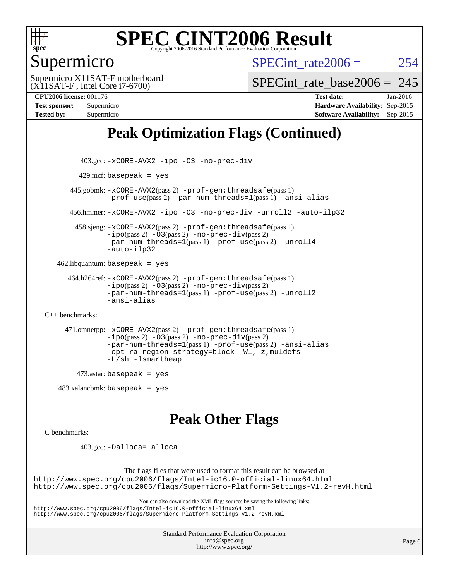

### Supermicro

SPECint rate $2006 = 254$ 

(X11SAT-F , Intel Core i7-6700) Supermicro X11SAT-F motherboard SPECint rate base2006 =  $245$ 

**[CPU2006 license:](http://www.spec.org/auto/cpu2006/Docs/result-fields.html#CPU2006license)** 001176 **[Test date:](http://www.spec.org/auto/cpu2006/Docs/result-fields.html#Testdate)** Jan-2016 **[Test sponsor:](http://www.spec.org/auto/cpu2006/Docs/result-fields.html#Testsponsor)** Supermicro **[Hardware Availability:](http://www.spec.org/auto/cpu2006/Docs/result-fields.html#HardwareAvailability)** Sep-2015 **[Tested by:](http://www.spec.org/auto/cpu2006/Docs/result-fields.html#Testedby)** Supermicro **[Software Availability:](http://www.spec.org/auto/cpu2006/Docs/result-fields.html#SoftwareAvailability)** Sep-2015

## **[Peak Optimization Flags \(Continued\)](http://www.spec.org/auto/cpu2006/Docs/result-fields.html#PeakOptimizationFlags)**

```
 403.gcc: -xCORE-AVX2 -ipo -O3 -no-prec-div
         429.mcf: basepeak = yes
       445.gobmk: -xCORE-AVX2(pass 2) -prof-gen:threadsafe(pass 1)
                -prof-use(pass 2) -par-num-threads=1(pass 1) -ansi-alias
       456.hmmer: -xCORE-AVX2 -ipo -O3 -no-prec-div -unroll2 -auto-ilp32
         458.sjeng: -xCORE-AVX2(pass 2) -prof-gen:threadsafe(pass 1)
                -i\text{po}(pass 2) -\ddot{o}3(pass 2)-no-prec-div(pass 2)
                -par-num-threads=1(pass 1) -prof-use(pass 2) -unroll4
                -auto-ilp32
   462.libquantum: basepeak = yes
      464.h264ref: -xCORE-AVX2(pass 2) -prof-gen:threadsafe(pass 1)
                -ipo(pass 2) -O3(pass 2) -no-prec-div(pass 2)
                -par-num-threads=1(pass 1) -prof-use(pass 2) -unroll2
                -ansi-alias
C++ benchmarks: 
      471.omnetpp: -xCORE-AVX2(pass 2) -prof-gen:threadsafe(pass 1)
                -ipo(pass 2) -O3(pass 2) -no-prec-div(pass 2)
                -par-num-threads=1(pass 1) -prof-use(pass 2) -ansi-alias
                -opt-ra-region-strategy=block -Wl,-z,muldefs
                -L/sh -lsmartheap
         473.astar: basepeak = yes
   483.xalanchmk: basepeak = yesPeak Other Flags
C benchmarks:
```
403.gcc: [-Dalloca=\\_alloca](http://www.spec.org/cpu2006/results/res2016q1/cpu2006-20160106-38555.flags.html#b403.gcc_peakEXTRA_CFLAGS_Dalloca_be3056838c12de2578596ca5467af7f3)

The flags files that were used to format this result can be browsed at <http://www.spec.org/cpu2006/flags/Intel-ic16.0-official-linux64.html> <http://www.spec.org/cpu2006/flags/Supermicro-Platform-Settings-V1.2-revH.html>

You can also download the XML flags sources by saving the following links:

<http://www.spec.org/cpu2006/flags/Intel-ic16.0-official-linux64.xml> <http://www.spec.org/cpu2006/flags/Supermicro-Platform-Settings-V1.2-revH.xml>

> Standard Performance Evaluation Corporation [info@spec.org](mailto:info@spec.org) <http://www.spec.org/>

Page 6